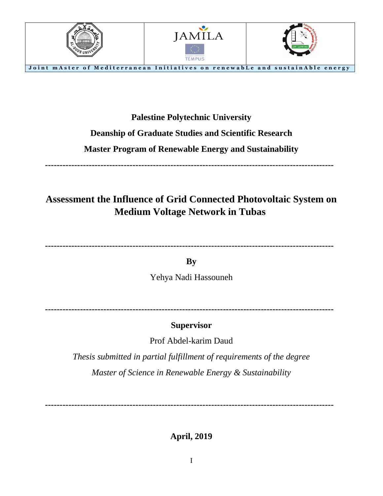

#### **Palestine Polytechnic University**

### **Deanship of Graduate Studies and Scientific Research**

### **Master Program of Renewable Energy and Sustainability**

**---------------------------------------------------------------------------------------------------**

# **Assessment the Influence of Grid Connected Photovoltaic System on Medium Voltage Network in Tubas**

**---------------------------------------------------------------------------------------------------**

**By** Yehya Nadi Hassouneh

**---------------------------------------------------------------------------------------------------**

### **Supervisor**

Prof Abdel-karim Daud

*Thesis submitted in partial fulfillment of requirements of the degree Master of Science in Renewable Energy & Sustainability*

**---------------------------------------------------------------------------------------------------**

**April, 2019**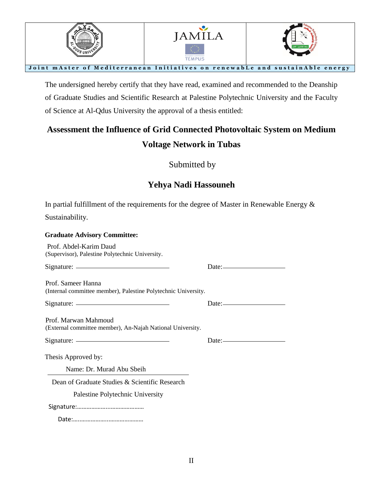

The undersigned hereby certify that they have read, examined and recommended to the Deanship of Graduate Studies and Scientific Research at Palestine Polytechnic University and the Faculty of Science at Al-Qdus University the approval of a thesis entitled:

# **Assessment the Influence of Grid Connected Photovoltaic System on Medium Voltage Network in Tubas**

Submitted by

### **Yehya Nadi Hassouneh**

In partial fulfillment of the requirements for the degree of Master in Renewable Energy  $\&$ 

Sustainability.

| <b>Graduate Advisory Committee:</b>                                                                                                                                                                                                                                                                                                                                                                      |                                                |
|----------------------------------------------------------------------------------------------------------------------------------------------------------------------------------------------------------------------------------------------------------------------------------------------------------------------------------------------------------------------------------------------------------|------------------------------------------------|
| Prof. Abdel-Karim Daud<br>(Supervisor), Palestine Polytechnic University.                                                                                                                                                                                                                                                                                                                                |                                                |
|                                                                                                                                                                                                                                                                                                                                                                                                          | $Date:$ $\qquad \qquad$                        |
| Prof. Sameer Hanna<br>(Internal committee member), Palestine Polytechnic University.                                                                                                                                                                                                                                                                                                                     |                                                |
| $Sigma:$ Signature: $\frac{1}{\sqrt{1-\frac{1}{2}}\sqrt{1-\frac{1}{2}}\sqrt{1-\frac{1}{2}}\sqrt{1-\frac{1}{2}}\sqrt{1-\frac{1}{2}}\sqrt{1-\frac{1}{2}}\sqrt{1-\frac{1}{2}}\sqrt{1-\frac{1}{2}}\sqrt{1-\frac{1}{2}}\sqrt{1-\frac{1}{2}}\sqrt{1-\frac{1}{2}}\sqrt{1-\frac{1}{2}}\sqrt{1-\frac{1}{2}}\sqrt{1-\frac{1}{2}}\sqrt{1-\frac{1}{2}}\sqrt{1-\frac{1}{2}}\sqrt{1-\frac{1}{2}}\sqrt{1-\frac{1}{2}}\$ |                                                |
| Prof. Marwan Mahmoud<br>(External committee member), An-Najah National University.                                                                                                                                                                                                                                                                                                                       |                                                |
|                                                                                                                                                                                                                                                                                                                                                                                                          | Date: <u>_________________________________</u> |
| Thesis Approved by:                                                                                                                                                                                                                                                                                                                                                                                      |                                                |
| Name: Dr. Murad Abu Sbeih                                                                                                                                                                                                                                                                                                                                                                                |                                                |
| Dean of Graduate Studies & Scientific Research                                                                                                                                                                                                                                                                                                                                                           |                                                |
| Palestine Polytechnic University                                                                                                                                                                                                                                                                                                                                                                         |                                                |
|                                                                                                                                                                                                                                                                                                                                                                                                          |                                                |
|                                                                                                                                                                                                                                                                                                                                                                                                          |                                                |

Date:…..……………...…………………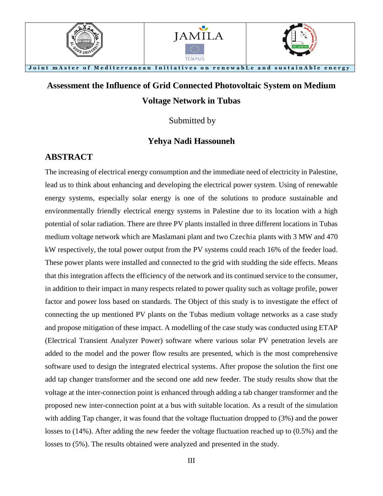

# **Assessment the Influence of Grid Connected Photovoltaic System on Medium Voltage Network in Tubas**

Submitted by

#### **Yehya Nadi Hassouneh**

#### **ABSTRACT**

The increasing of electrical energy consumption and the immediate need of electricity in Palestine, lead us to think about enhancing and developing the electrical power system. Using of renewable energy systems, especially solar energy is one of the solutions to produce sustainable and environmentally friendly electrical energy systems in Palestine due to its location with a high potential of solar radiation. There are three PV plants installed in three different locations in Tubas medium voltage network which are Maslamani plant and two Czechia plants with 3 MW and 470 kW respectively, the total power output from the PV systems could reach 16% of the feeder load. These power plants were installed and connected to the grid with studding the side effects. Means that this integration affects the efficiency of the network and its continued service to the consumer, in addition to their impact in many respects related to power quality such as voltage profile, power factor and power loss based on standards. The Object of this study is to investigate the effect of connecting the up mentioned PV plants on the Tubas medium voltage networks as a case study and propose mitigation of these impact. A modelling of the case study was conducted using ETAP (Electrical Transient Analyzer Power) software where various solar PV penetration levels are added to the model and the power flow results are presented, which is the most comprehensive software used to design the integrated electrical systems. After propose the solution the first one add tap changer transformer and the second one add new feeder. The study results show that the voltage at the inter-connection point is enhanced through adding a tab changer transformer and the proposed new inter-connection point at a bus with suitable location. As a result of the simulation with adding Tap changer, it was found that the voltage fluctuation dropped to (3%) and the power losses to (14%). After adding the new feeder the voltage fluctuation reached up to (0.5%) and the losses to (5%). The results obtained were analyzed and presented in the study.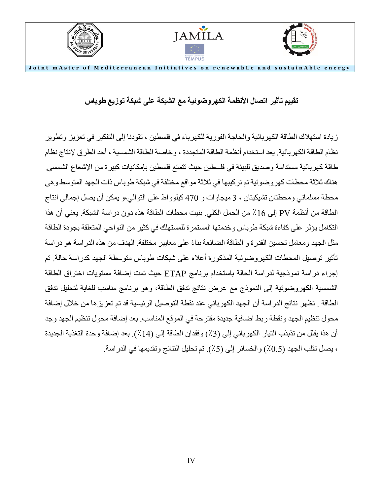

**تقييم تأثير اتصال األنظمة الكهروضوئية مع الشبكة على شبكة توزيع طوباس**

زيادة استهالك الطاقة الكهربائية والحاجة الفورية للكهرباء في فلسطين ، تقودنا إلى التفكير في تعزيز وتطوير نظام الطاقة الكهربائية. يعد استخدام أنظمة الطاقة المتجددة ، وخاصة الطاقة الشمسية ، أحد الطرق إلنتاج نظام طاقة كهربائية مستدامة وصديق للبيئة في فلسطين حيث تتمتع فلسطين بإمكانيات كبيرة من اإلشعاع الشمسي. هناك ثالثة محطات كهروضوئية تم تركيبها في ثالثة مواقع مختلفة في شبكة طوباس ذات الجهد المتوسط وهي محطة مسلماني ومحطتان تشيكيتان ، 3 ميجاوات و 470 كيلوواط على التوالي،و يمكن أن يصل إجمالي انتاج الطاقة من أنظمة PV إلى ٪16 من الحمل الكلي. بنيت محطات الطاقة هذه دون دراسة الشبكة. يعني أن هذا التكامل يؤثر على كفاءة شبكة طوباس وخدمتها المستمرة للمستهلك في كثير من النواحي المتعلقة بجودة الطاقة مثل الجهد ومعامل تحسين القدرة و الطاقة الضائعة بناءً على معايير مختلفة. الهدف من هذه الدراسة هو دراسة تأثير توصيل المحطات الكهروضوئية المذكورة أعاله على شبكات طوباس متوسطة الجهد كدراسة حالة. تم إجراء دراسة نموذجية لدراسة الحالة باستخدام برنامج ETAP حيث تمت إضافة مستويات اختراق الطاقة الشمسية الكهروضوئية إلى النموذج مع عرض نتائج تدفق الطاقة، وهو برنامج مناسب للغاية لتحليل تدفق الطاقة . تظهر نتائج الدراسة أن الجهد الكهربائي عند نقطة التوصيل الرئيسية قد تم تعزيزها من خال ل إضافة محو ل تنظيم الجهد ونقطة ربط اضافية جديدة مقترحة في الموقع المناسب. بعد إضافة محو ل تنظيم الجهد وجد أن هذا يقلل من تذبذب التيار الكهربائي إلى (3٪) وفقدان الطاقة إلى (14٪). بعد إضافة وحدة التغذية الجديدة ، يصل تقلب الجهد (0.5٪) والخسائر إلى (5٪). تم تحليل النتائج وتقديمها في الدراسة.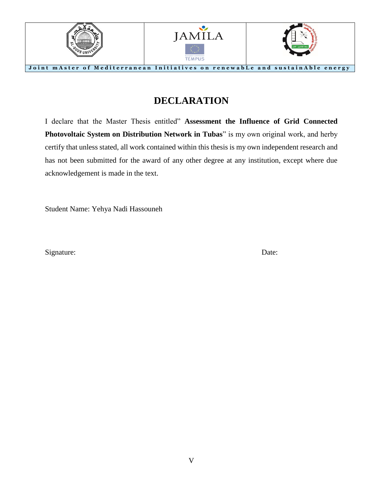

### **DECLARATION**

I declare that the Master Thesis entitled" **Assessment the Influence of Grid Connected Photovoltaic System on Distribution Network in Tubas**" is my own original work, and herby certify that unless stated, all work contained within this thesis is my own independent research and has not been submitted for the award of any other degree at any institution, except where due acknowledgement is made in the text.

Student Name: Yehya Nadi Hassouneh

Signature: Date: Date: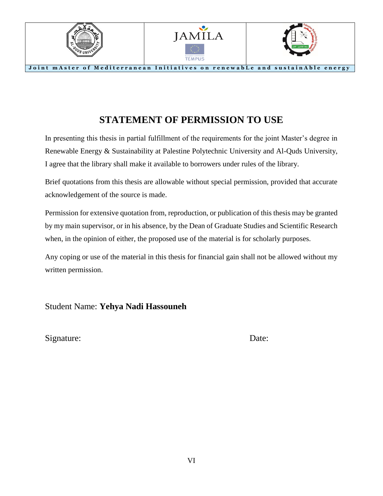

# **STATEMENT OF PERMISSION TO USE**

In presenting this thesis in partial fulfillment of the requirements for the joint Master's degree in Renewable Energy & Sustainability at Palestine Polytechnic University and Al-Quds University, I agree that the library shall make it available to borrowers under rules of the library.

Brief quotations from this thesis are allowable without special permission, provided that accurate acknowledgement of the source is made.

Permission for extensive quotation from, reproduction, or publication of this thesis may be granted by my main supervisor, or in his absence, by the Dean of Graduate Studies and Scientific Research when, in the opinion of either, the proposed use of the material is for scholarly purposes.

Any coping or use of the material in this thesis for financial gain shall not be allowed without my written permission.

Student Name: **Yehya Nadi Hassouneh**

Signature: Date: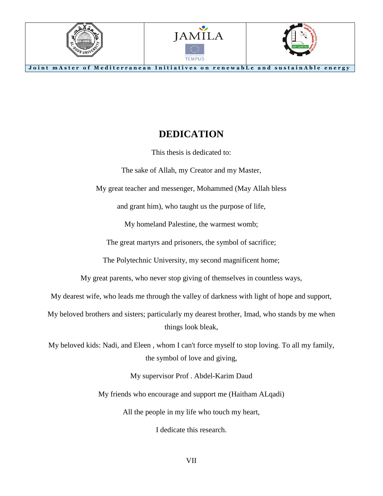

#### **DEDICATION**

This thesis is dedicated to:

The sake of Allah, my Creator and my Master,

My great teacher and messenger, Mohammed (May Allah bless

and grant him), who taught us the purpose of life,

My homeland Palestine, the warmest womb;

The great martyrs and prisoners, the symbol of sacrifice;

The Polytechnic University, my second magnificent home;

My great parents, who never stop giving of themselves in countless ways,

My dearest wife, who leads me through the valley of darkness with light of hope and support,

My beloved brothers and sisters; particularly my dearest brother, Imad, who stands by me when things look bleak,

My beloved kids: Nadi, and Eleen , whom I can't force myself to stop loving. To all my family, the symbol of love and giving,

My supervisor Prof . Abdel-Karim Daud

My friends who encourage and support me (Haitham ALqadi)

All the people in my life who touch my heart,

I dedicate this research.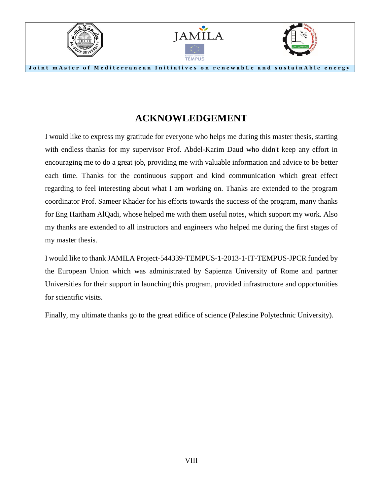

### **ACKNOWLEDGEMENT**

I would like to express my gratitude for everyone who helps me during this master thesis, starting with endless thanks for my supervisor Prof. Abdel-Karim Daud who didn't keep any effort in encouraging me to do a great job, providing me with valuable information and advice to be better each time. Thanks for the continuous support and kind communication which great effect regarding to feel interesting about what I am working on. Thanks are extended to the program coordinator Prof. Sameer Khader for his efforts towards the success of the program, many thanks for Eng Haitham AlQadi, whose helped me with them useful notes, which support my work. Also my thanks are extended to all instructors and engineers who helped me during the first stages of my master thesis.

I would like to thank JAMILA Project-544339-TEMPUS-1-2013-1-IT-TEMPUS-JPCR funded by the European Union which was administrated by Sapienza University of Rome and partner Universities for their support in launching this program, provided infrastructure and opportunities for scientific visits.

Finally, my ultimate thanks go to the great edifice of science (Palestine Polytechnic University).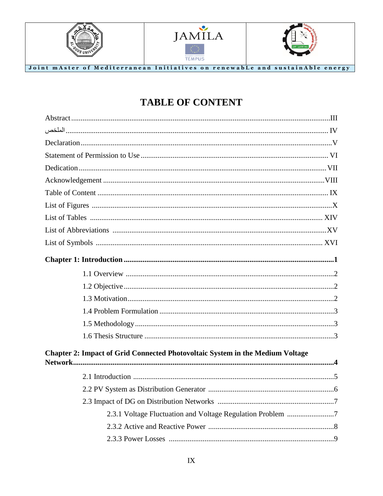





Joint mAster of Mediterranean Initiatives on renewable and sustainAble energy

# **TABLE OF CONTENT**

| Chapter 2: Impact of Grid Connected Photovoltaic System in the Medium Voltage |  |
|-------------------------------------------------------------------------------|--|
|                                                                               |  |
|                                                                               |  |
|                                                                               |  |
| 2.3.1 Voltage Fluctuation and Voltage Regulation Problem 7                    |  |
|                                                                               |  |
|                                                                               |  |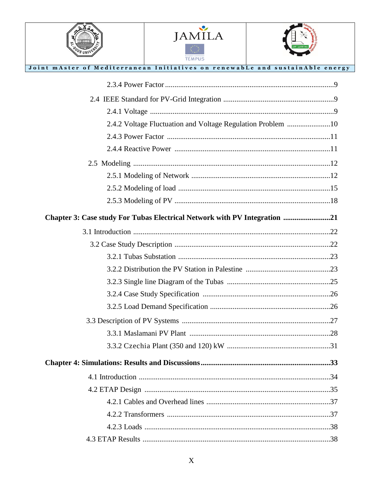



Joint mAster of Mediterranean Initiatives on renewable and sustainAble energy



| 2.4.2 Voltage Fluctuation and Voltage Regulation Problem 10               |  |
|---------------------------------------------------------------------------|--|
|                                                                           |  |
|                                                                           |  |
|                                                                           |  |
|                                                                           |  |
|                                                                           |  |
|                                                                           |  |
| Chapter 3: Case study For Tubas Electrical Network with PV Integration 21 |  |
|                                                                           |  |
|                                                                           |  |
|                                                                           |  |
|                                                                           |  |
|                                                                           |  |
|                                                                           |  |
|                                                                           |  |
|                                                                           |  |
|                                                                           |  |
|                                                                           |  |
|                                                                           |  |
|                                                                           |  |
|                                                                           |  |
|                                                                           |  |
|                                                                           |  |
|                                                                           |  |
|                                                                           |  |
| .38                                                                       |  |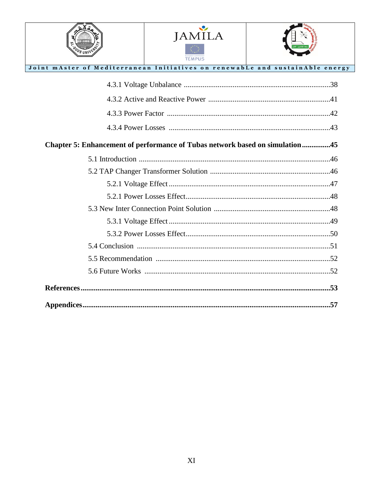

OS UNI



| Joint mAster of Mediterranean Initiatives on renewabLe and sustainAble energy |
|-------------------------------------------------------------------------------|
|                                                                               |
|                                                                               |
|                                                                               |
|                                                                               |
| Chapter 5: Enhancement of performance of Tubas network based on simulation45  |
|                                                                               |
|                                                                               |
|                                                                               |
|                                                                               |
|                                                                               |
|                                                                               |
|                                                                               |
|                                                                               |
|                                                                               |
|                                                                               |
|                                                                               |
|                                                                               |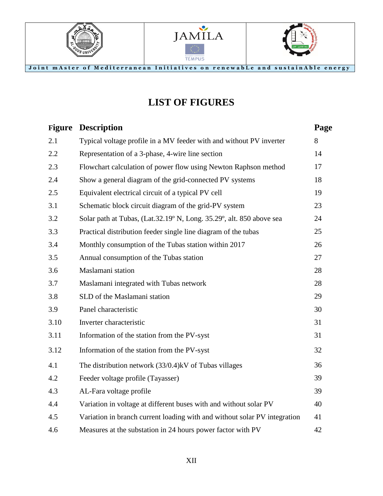





**LIST OF FIGURES**

Joint mAster of Mediterranean Initiatives on renewable and sustainAble energy

| Page                                                                            |
|---------------------------------------------------------------------------------|
| 8                                                                               |
| 14                                                                              |
| 17                                                                              |
| 18                                                                              |
| 19                                                                              |
| 23                                                                              |
| 24                                                                              |
| 25                                                                              |
| 26                                                                              |
| 27                                                                              |
| 28                                                                              |
| 28                                                                              |
| 29                                                                              |
| 30                                                                              |
| 31                                                                              |
| 31                                                                              |
| 32                                                                              |
| 36                                                                              |
| 39                                                                              |
| 39                                                                              |
| 40                                                                              |
| Variation in branch current loading with and without solar PV integration<br>41 |
| 42                                                                              |
|                                                                                 |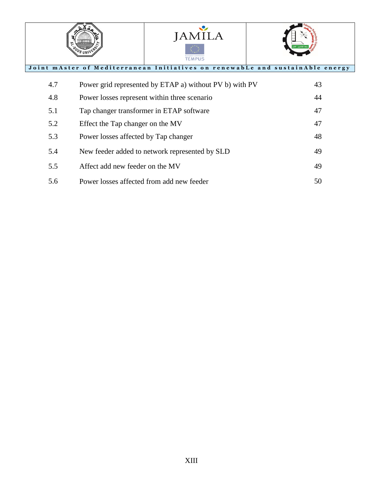



#### Joint mAster of Mediterranean Initiatives on renewable and sustainAble energy

's uni'

| 4.7 | Power grid represented by ETAP a) without PV b) with PV | 43 |
|-----|---------------------------------------------------------|----|
| 4.8 | Power losses represent within three scenario            | 44 |
| 5.1 | Tap changer transformer in ETAP software                | 47 |
| 5.2 | Effect the Tap changer on the MV                        | 47 |
| 5.3 | Power losses affected by Tap changer                    | 48 |
| 5.4 | New feeder added to network represented by SLD          | 49 |
| 5.5 | Affect add new feeder on the MV                         | 49 |
| 5.6 | Power losses affected from add new feeder               | 50 |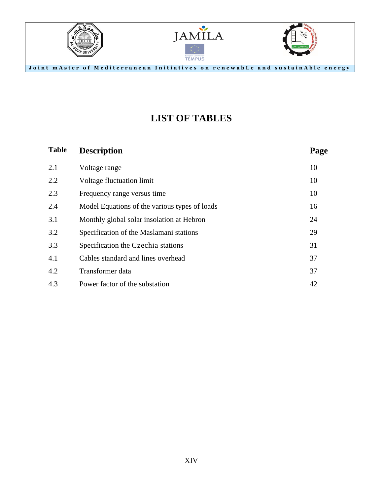

# **LIST OF TABLES**

| <b>Table</b> | <b>Description</b>                            | Page |
|--------------|-----------------------------------------------|------|
| 2.1          | Voltage range                                 | 10   |
| 2.2          | Voltage fluctuation limit                     | 10   |
| 2.3          | Frequency range versus time                   | 10   |
| 2.4          | Model Equations of the various types of loads | 16   |
| 3.1          | Monthly global solar insolation at Hebron     | 24   |
| 3.2          | Specification of the Maslamani stations       | 29   |
| 3.3          | Specification the Czechia stations            | 31   |
| 4.1          | Cables standard and lines overhead            | 37   |
| 4.2          | Transformer data                              | 37   |
| 4.3          | Power factor of the substation                | 42   |